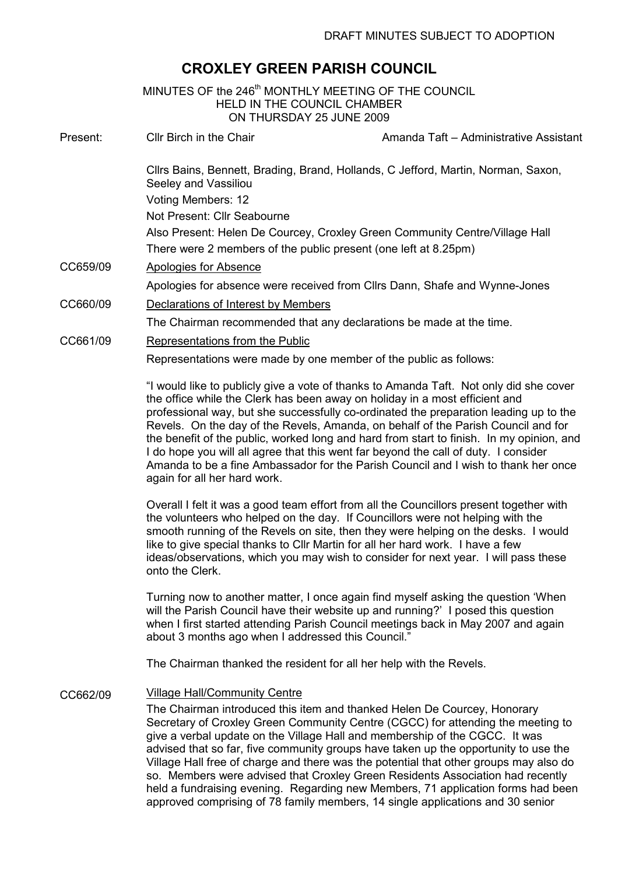# CROXLEY GREEN PARISH COUNCIL

|          | MINUTES OF the 246 <sup>th</sup> MONTHLY MEETING OF THE COUNCIL<br>HELD IN THE COUNCIL CHAMBER<br>ON THURSDAY 25 JUNE 2009                                                                                                                                                                                                                                                                                                                                                                                                                                                                                                                                                                                                 |
|----------|----------------------------------------------------------------------------------------------------------------------------------------------------------------------------------------------------------------------------------------------------------------------------------------------------------------------------------------------------------------------------------------------------------------------------------------------------------------------------------------------------------------------------------------------------------------------------------------------------------------------------------------------------------------------------------------------------------------------------|
| Present: | Cllr Birch in the Chair<br>Amanda Taft - Administrative Assistant                                                                                                                                                                                                                                                                                                                                                                                                                                                                                                                                                                                                                                                          |
|          | Cllrs Bains, Bennett, Brading, Brand, Hollands, C Jefford, Martin, Norman, Saxon,<br>Seeley and Vassiliou                                                                                                                                                                                                                                                                                                                                                                                                                                                                                                                                                                                                                  |
|          | Voting Members: 12                                                                                                                                                                                                                                                                                                                                                                                                                                                                                                                                                                                                                                                                                                         |
|          | Not Present: Cllr Seabourne                                                                                                                                                                                                                                                                                                                                                                                                                                                                                                                                                                                                                                                                                                |
|          | Also Present: Helen De Courcey, Croxley Green Community Centre/Village Hall<br>There were 2 members of the public present (one left at 8.25pm)                                                                                                                                                                                                                                                                                                                                                                                                                                                                                                                                                                             |
| CC659/09 | <b>Apologies for Absence</b>                                                                                                                                                                                                                                                                                                                                                                                                                                                                                                                                                                                                                                                                                               |
|          | Apologies for absence were received from Cllrs Dann, Shafe and Wynne-Jones                                                                                                                                                                                                                                                                                                                                                                                                                                                                                                                                                                                                                                                 |
| CC660/09 | Declarations of Interest by Members                                                                                                                                                                                                                                                                                                                                                                                                                                                                                                                                                                                                                                                                                        |
|          | The Chairman recommended that any declarations be made at the time.                                                                                                                                                                                                                                                                                                                                                                                                                                                                                                                                                                                                                                                        |
| CC661/09 | Representations from the Public                                                                                                                                                                                                                                                                                                                                                                                                                                                                                                                                                                                                                                                                                            |
|          | Representations were made by one member of the public as follows:                                                                                                                                                                                                                                                                                                                                                                                                                                                                                                                                                                                                                                                          |
|          | "I would like to publicly give a vote of thanks to Amanda Taft. Not only did she cover<br>the office while the Clerk has been away on holiday in a most efficient and<br>professional way, but she successfully co-ordinated the preparation leading up to the<br>Revels. On the day of the Revels, Amanda, on behalf of the Parish Council and for<br>the benefit of the public, worked long and hard from start to finish. In my opinion, and<br>I do hope you will all agree that this went far beyond the call of duty. I consider<br>Amanda to be a fine Ambassador for the Parish Council and I wish to thank her once<br>again for all her hard work.                                                               |
|          | Overall I felt it was a good team effort from all the Councillors present together with<br>the volunteers who helped on the day. If Councillors were not helping with the<br>smooth running of the Revels on site, then they were helping on the desks. I would<br>like to give special thanks to Cllr Martin for all her hard work. I have a few<br>ideas/observations, which you may wish to consider for next year. I will pass these<br>onto the Clerk.                                                                                                                                                                                                                                                                |
|          | Turning now to another matter, I once again find myself asking the question 'When<br>will the Parish Council have their website up and running?' I posed this question<br>when I first started attending Parish Council meetings back in May 2007 and again<br>about 3 months ago when I addressed this Council."                                                                                                                                                                                                                                                                                                                                                                                                          |
|          | The Chairman thanked the resident for all her help with the Revels.                                                                                                                                                                                                                                                                                                                                                                                                                                                                                                                                                                                                                                                        |
| CC662/09 | <b>Village Hall/Community Centre</b><br>The Chairman introduced this item and thanked Helen De Courcey, Honorary<br>Secretary of Croxley Green Community Centre (CGCC) for attending the meeting to<br>give a verbal update on the Village Hall and membership of the CGCC. It was<br>advised that so far, five community groups have taken up the opportunity to use the<br>Village Hall free of charge and there was the potential that other groups may also do<br>so. Members were advised that Croxley Green Residents Association had recently<br>held a fundraising evening. Regarding new Members, 71 application forms had been<br>approved comprising of 78 family members, 14 single applications and 30 senior |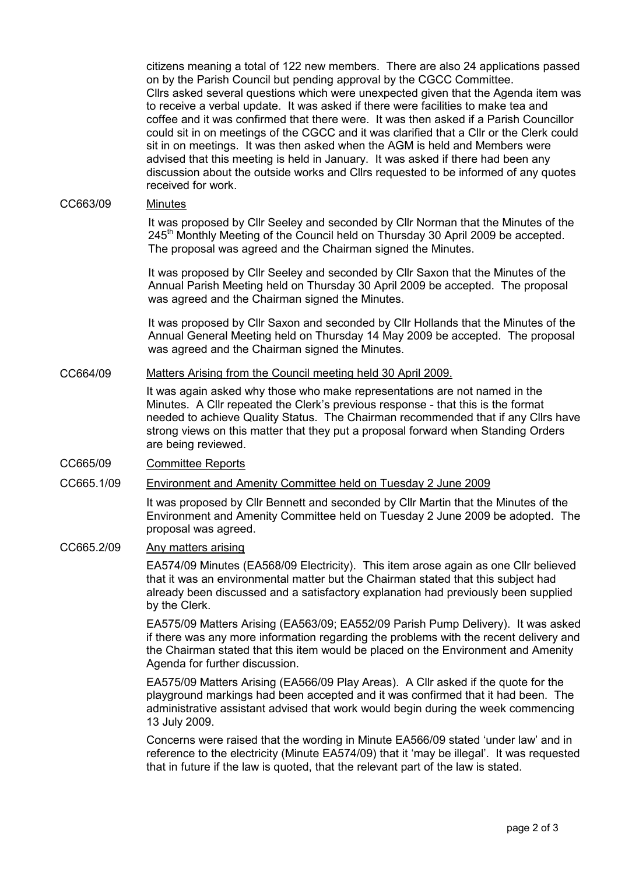citizens meaning a total of 122 new members. There are also 24 applications passed on by the Parish Council but pending approval by the CGCC Committee. Cllrs asked several questions which were unexpected given that the Agenda item was to receive a verbal update. It was asked if there were facilities to make tea and coffee and it was confirmed that there were. It was then asked if a Parish Councillor could sit in on meetings of the CGCC and it was clarified that a Cllr or the Clerk could sit in on meetings. It was then asked when the AGM is held and Members were advised that this meeting is held in January. It was asked if there had been any discussion about the outside works and Cllrs requested to be informed of any quotes received for work.

# CC663/09 Minutes

It was proposed by Cllr Seeley and seconded by Cllr Norman that the Minutes of the  $245<sup>th</sup>$  Monthly Meeting of the Council held on Thursday 30 April 2009 be accepted. The proposal was agreed and the Chairman signed the Minutes.

It was proposed by Cllr Seeley and seconded by Cllr Saxon that the Minutes of the Annual Parish Meeting held on Thursday 30 April 2009 be accepted. The proposal was agreed and the Chairman signed the Minutes.

It was proposed by Cllr Saxon and seconded by Cllr Hollands that the Minutes of the Annual General Meeting held on Thursday 14 May 2009 be accepted. The proposal was agreed and the Chairman signed the Minutes.

### CC664/09 Matters Arising from the Council meeting held 30 April 2009.

It was again asked why those who make representations are not named in the Minutes. A Cllr repeated the Clerk's previous response - that this is the format needed to achieve Quality Status. The Chairman recommended that if any Cllrs have strong views on this matter that they put a proposal forward when Standing Orders are being reviewed.

# CC665/09 Committee Reports

# CC665.1/09 Environment and Amenity Committee held on Tuesday 2 June 2009

It was proposed by Cllr Bennett and seconded by Cllr Martin that the Minutes of the Environment and Amenity Committee held on Tuesday 2 June 2009 be adopted. The proposal was agreed.

#### CC665.2/09 Any matters arising

EA574/09 Minutes (EA568/09 Electricity). This item arose again as one Cllr believed that it was an environmental matter but the Chairman stated that this subject had already been discussed and a satisfactory explanation had previously been supplied by the Clerk.

EA575/09 Matters Arising (EA563/09; EA552/09 Parish Pump Delivery). It was asked if there was any more information regarding the problems with the recent delivery and the Chairman stated that this item would be placed on the Environment and Amenity Agenda for further discussion.

EA575/09 Matters Arising (EA566/09 Play Areas). A Cllr asked if the quote for the playground markings had been accepted and it was confirmed that it had been. The administrative assistant advised that work would begin during the week commencing 13 July 2009.

Concerns were raised that the wording in Minute EA566/09 stated 'under law' and in reference to the electricity (Minute EA574/09) that it 'may be illegal'. It was requested that in future if the law is quoted, that the relevant part of the law is stated.